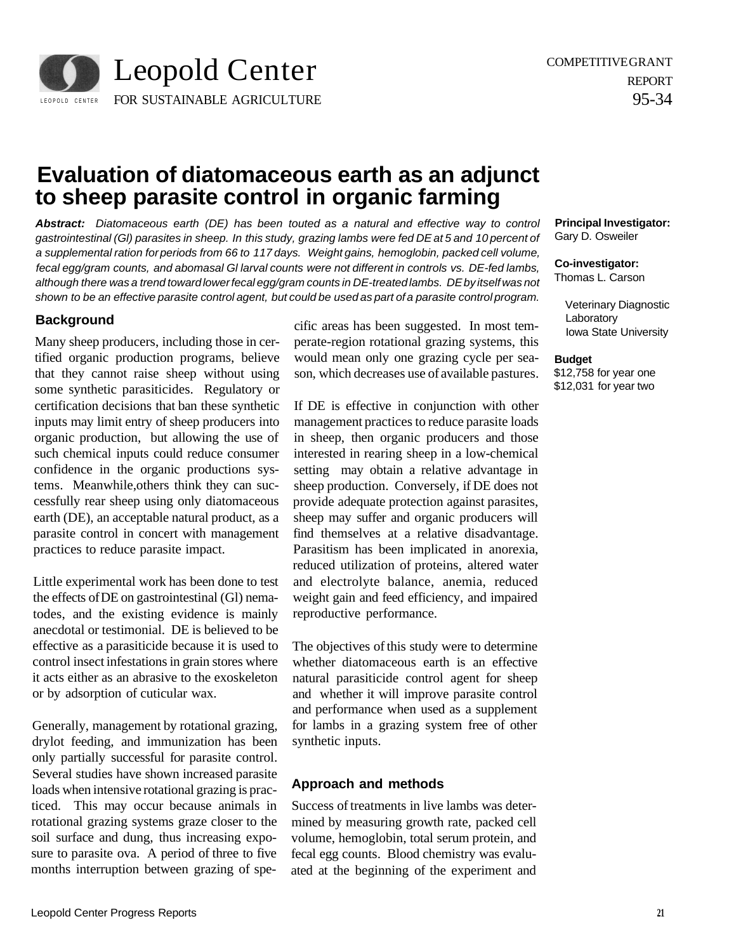

# **Evaluation of diatomaceous earth as an adjunct to sheep parasite control in organic farming**

**Abstract:** Diatomaceous earth (DE) has been touted as a natural and effective way to control gastrointestinal (Gl) parasites in sheep. In this study, grazing lambs were fed DE at 5 and 10 percent of a supplemental ration for periods from 66 to 117 days. Weight gains, hemoglobin, packed cell volume, fecal egg/gram counts, and abomasal Gl larval counts were not different in controls vs. DE-fed lambs, although there was a trend toward lower fecal egg/gram counts in DE-treated lambs. DE by itself was not shown to be an effective parasite control agent, but could be used as part of a parasite control program.

### **Background**

Many sheep producers, including those in certified organic production programs, believe that they cannot raise sheep without using some synthetic parasiticides. Regulatory or certification decisions that ban these synthetic inputs may limit entry of sheep producers into organic production, but allowing the use of such chemical inputs could reduce consumer confidence in the organic productions systems. Meanwhile,others think they can successfully rear sheep using only diatomaceous earth (DE), an acceptable natural product, as a parasite control in concert with management practices to reduce parasite impact.

Little experimental work has been done to test the effects of DE on gastrointestinal (Gl) nematodes, and the existing evidence is mainly anecdotal or testimonial. DE is believed to be effective as a parasiticide because it is used to control insect infestations in grain stores where it acts either as an abrasive to the exoskeleton or by adsorption of cuticular wax.

Generally, management by rotational grazing, drylot feeding, and immunization has been only partially successful for parasite control. Several studies have shown increased parasite loads when intensive rotational grazing is practiced. This may occur because animals in rotational grazing systems graze closer to the soil surface and dung, thus increasing exposure to parasite ova. A period of three to five months interruption between grazing of spe-

cific areas has been suggested. In most temperate-region rotational grazing systems, this would mean only one grazing cycle per season, which decreases use of available pastures.

If DE is effective in conjunction with other management practices to reduce parasite loads in sheep, then organic producers and those interested in rearing sheep in a low-chemical setting may obtain a relative advantage in sheep production. Conversely, if DE does not provide adequate protection against parasites, sheep may suffer and organic producers will find themselves at a relative disadvantage. Parasitism has been implicated in anorexia, reduced utilization of proteins, altered water and electrolyte balance, anemia, reduced weight gain and feed efficiency, and impaired reproductive performance.

The objectives of this study were to determine whether diatomaceous earth is an effective natural parasiticide control agent for sheep and whether it will improve parasite control and performance when used as a supplement for lambs in a grazing system free of other synthetic inputs.

### **Approach and methods**

Success of treatments in live lambs was determined by measuring growth rate, packed cell volume, hemoglobin, total serum protein, and fecal egg counts. Blood chemistry was evaluated at the beginning of the experiment and **Principal Investigator:**  Gary D. Osweiler

**Co-investigator:**  Thomas L. Carson

Veterinary Diagnostic

Laboratory Iowa State University

**Budget** 

\$12,758 for year one \$12,031 for year two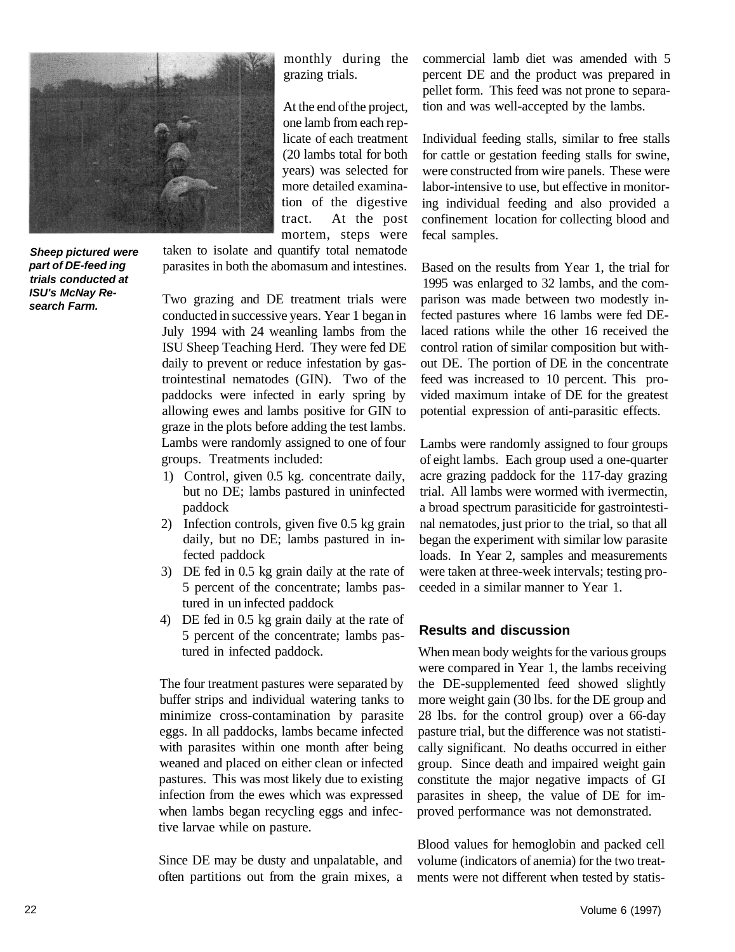

**Sheep pictured were part of DE-feed ing trials conducted at ISU's McNay Research Farm.** 

monthly during the grazing trials.

mortem, steps were At the end of the project, one lamb from each replicate of each treatment (20 lambs total for both years) was selected for more detailed examination of the digestive tract. At the post

taken to isolate and quantify total nematode parasites in both the abomasum and intestines.

Two grazing and DE treatment trials were conducted in successive years. Year 1 began in July 1994 with 24 weanling lambs from the ISU Sheep Teaching Herd. They were fed DE daily to prevent or reduce infestation by gastrointestinal nematodes (GIN). Two of the paddocks were infected in early spring by allowing ewes and lambs positive for GIN to graze in the plots before adding the test lambs. Lambs were randomly assigned to one of four groups. Treatments included:

- 1) Control, given 0.5 kg. concentrate daily, but no DE; lambs pastured in uninfected paddock
- 2) Infection controls, given five 0.5 kg grain daily, but no DE; lambs pastured in infected paddock
- 3) DE fed in 0.5 kg grain daily at the rate of 5 percent of the concentrate; lambs pastured in un infected paddock
- 4) DE fed in 0.5 kg grain daily at the rate of 5 percent of the concentrate; lambs pastured in infected paddock.

The four treatment pastures were separated by buffer strips and individual watering tanks to minimize cross-contamination by parasite eggs. In all paddocks, lambs became infected with parasites within one month after being weaned and placed on either clean or infected pastures. This was most likely due to existing infection from the ewes which was expressed when lambs began recycling eggs and infective larvae while on pasture.

Since DE may be dusty and unpalatable, and often partitions out from the grain mixes, a commercial lamb diet was amended with 5 percent DE and the product was prepared in pellet form. This feed was not prone to separation and was well-accepted by the lambs.

Individual feeding stalls, similar to free stalls for cattle or gestation feeding stalls for swine, were constructed from wire panels. These were labor-intensive to use, but effective in monitoring individual feeding and also provided a confinement location for collecting blood and fecal samples.

Based on the results from Year 1, the trial for 1995 was enlarged to 32 lambs, and the comparison was made between two modestly infected pastures where 16 lambs were fed DElaced rations while the other 16 received the control ration of similar composition but without DE. The portion of DE in the concentrate feed was increased to 10 percent. This provided maximum intake of DE for the greatest potential expression of anti-parasitic effects.

Lambs were randomly assigned to four groups of eight lambs. Each group used a one-quarter acre grazing paddock for the 117-day grazing trial. All lambs were wormed with ivermectin, a broad spectrum parasiticide for gastrointestinal nematodes, just prior to the trial, so that all began the experiment with similar low parasite loads. In Year 2, samples and measurements were taken at three-week intervals; testing proceeded in a similar manner to Year 1.

# **Results and discussion**

When mean body weights for the various groups were compared in Year 1, the lambs receiving the DE-supplemented feed showed slightly more weight gain (30 lbs. for the DE group and 28 lbs. for the control group) over a 66-day pasture trial, but the difference was not statistically significant. No deaths occurred in either group. Since death and impaired weight gain constitute the major negative impacts of GI parasites in sheep, the value of DE for improved performance was not demonstrated.

Blood values for hemoglobin and packed cell volume (indicators of anemia) for the two treatments were not different when tested by statis